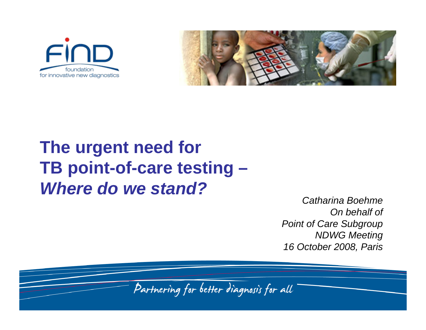



# **The urgent need for TB point-of-care testing –**  *Where do we stand?*

*Catharina BoehmeOn behalf of Point of Care Subgroup NDWG Meeting 16 October 2008, Paris*

Partnering for better diagnosis for all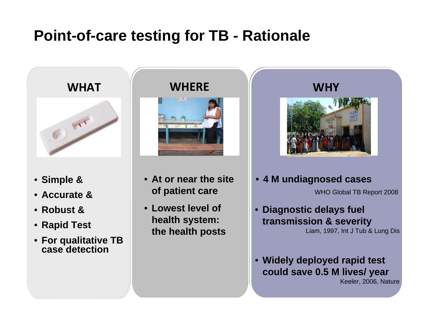## **Point-of-care testing for TB - Rationale**





- **Simple &**
- **Accurate &**
- **Robust &**
- **Rapid Test**
- **For qualitative TB case detection**

#### **WHERE**



- **At or near the site of patient care**
- **Lowest level of health system: the health posts**



- **4 M undiagnosed cases** WHO Global TB Report 2008
- **Diagnostic delays fuel transmission & severity** Liam, 1997, Int J Tub & Lung Dis
- **Widely deployed rapid test could save 0.5 M lives/ year**

Keeler, 2006, Nature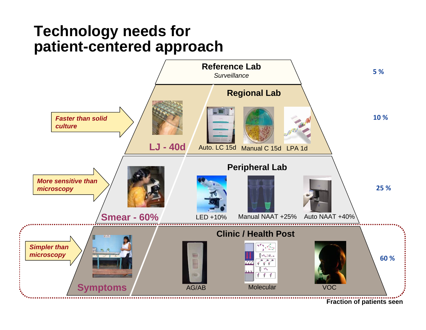### **Technology needs for patient-centered approach**



**Fraction of patients seen**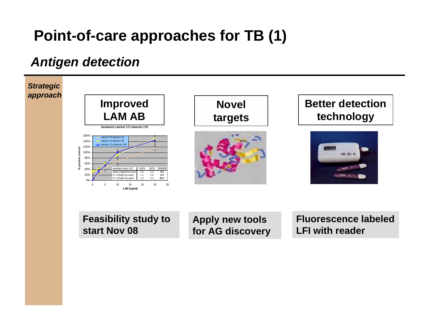## **Point-of-care approaches for TB (1)**

### *Antigen detection*



**Feasibility study to start Nov 08** 

**Apply new tools for AG discovery**  **Fluorescence labeled LFI with reader**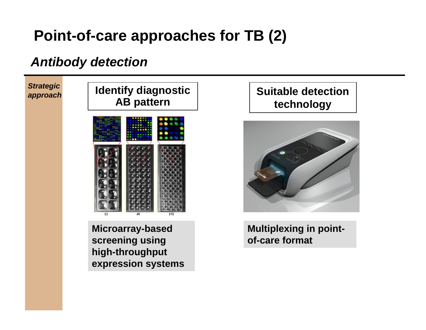## **Point-of-care approaches for TB (2)**

### *Antibody detection*



**Microarray-based screening using high-throughput expression systems**

#### **Suitable detection technology**



**Multiplexing in pointof-care format**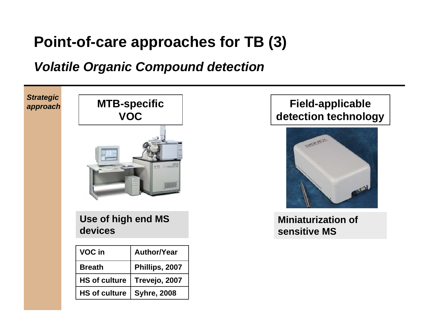## **Point-of-care approaches for TB (3)**

#### *Volatile Organic Compound detection*



#### **Field-applicable detection technology**



**Miniaturization of sensitive MS**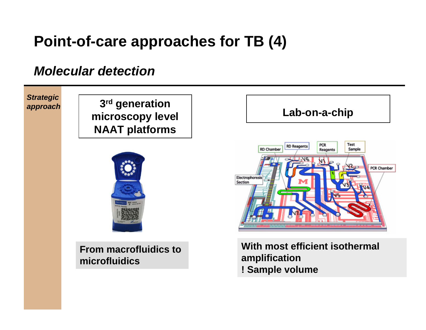## **Point-of-care approaches for TB (4)**

#### *Molecular detection*



**! Sample volume**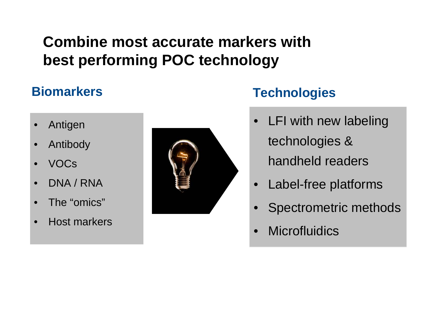## **Combine most accurate markers with best performing POC technology**

### **Biomarkers**

- **Antigen**
- **Antibody**
- VOCs
- DNA / RNA
- The "omics"
- Host markers



### **Technologies**

- LFI with new labeling technologies & handheld readers
- Label-free platforms
- Spectrometric methods
- **Microfluidics**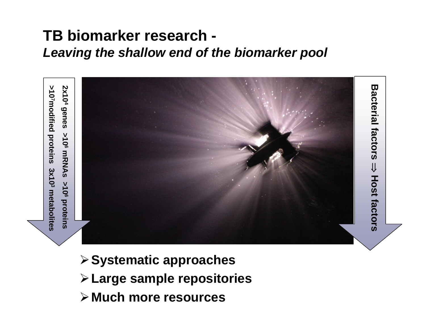### **TB biomarker research -**  *Leaving the shallow end of the biomarker pool*



- ¾**Systematic approaches**
- ¾**Large sample repositories**
- ¾**Much more resources**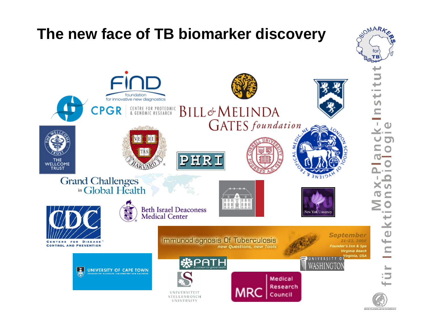# **The new face of TB biomarker discovery**



**BIOMARK**